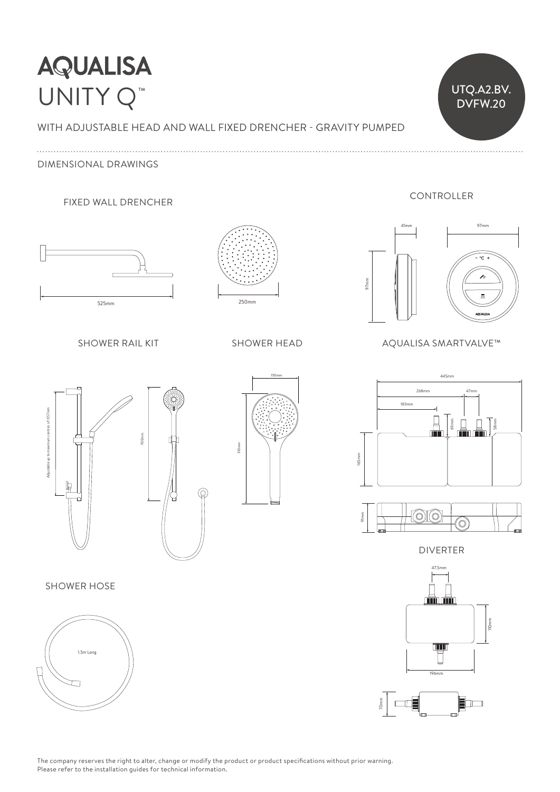# **AQUALISA** UNITY Q<sup>™</sup> UNITY Q<sup>™</sup>

WITH ADJUSTABLE HEAD AND WALL FIXED DRENCHER - GRAVITY PUMPED  $\vee$ 

DIMENSIONAL DRAWINGS

FIXED WALL DRENCHER



SHOWER RAIL KIT



**SHOWER HEAD** 



### AQUALISA SMARTVALVE™





max 1072mm 183mm  $\overline{B}$ 183mm<br>
183mm<br>
183mm 165mm 69mm 58mm 268mm 47mm 445mm 25mm 70mm 25mm 70mm 72mm



DIVERTER



SHOWER HOSE



The company reserves the right to alter, change or modify the product or product specifications without prior warning. Please refer to the installation guides for technical information.

 $\circledcirc$ 

## CONTROLLER

DVFW.20 25mm 98mm 25mm 98mm